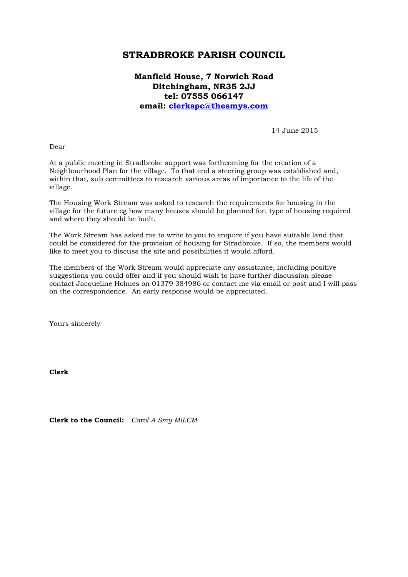## **STRADBROKE PARISH COUNCIL**

## **Manfield House, 7 Norwich Road Ditchingham, NR35 2JJ tel: 07555 066147 email: [clerkspc@thesmys.com](mailto:clerkspc@thesmys.com)**

14 June 2015

Dear

At a public meeting in Stradbroke support was forthcoming for the creation of a Neighbourhood Plan for the village. To that end a steering group was established and, within that, sub committees to research various areas of importance to the life of the village.

The Housing Work Stream was asked to research the requirements for housing in the village for the future eg how many houses should be planned for, type of housing required and where they should be built.

The Work Stream has asked me to write to you to enquire if you have suitable land that could be considered for the provision of housing for Stradbroke. If so, the members would like to meet you to discuss the site and possibilities it would afford.

The members of the Work Stream would appreciate any assistance, including positive suggestions you could offer and if you should wish to have further discussion please contact Jacqueline Holmes on 01379 384986 or contact me via email or post and I will pass on the correspondence. An early response would be appreciated.

Yours sincerely

**Clerk**

**Clerk to the Council:** *Carol A Smy MILCM*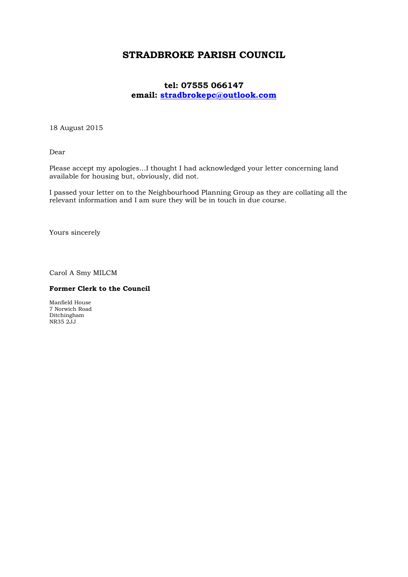## **STRADBROKE PARISH COUNCIL**

## **tel: 07555 066147 email: [stradbrokepc@outlook.com](mailto:stradbrokepc@outlook.com)**

18 August 2015

Dear

Please accept my apologies…I thought I had acknowledged your letter concerning land available for housing but, obviously, did not.

I passed your letter on to the Neighbourhood Planning Group as they are collating all the relevant information and I am sure they will be in touch in due course.

Yours sincerely

Carol A Smy MILCM

#### **Former Clerk to the Council**

Manfield House 7 Norwich Road Ditchingham NR35 2JJ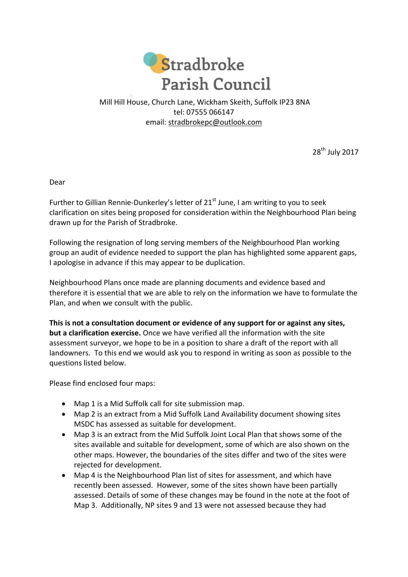

## Mill Hill House, Church Lane, Wickham Skeith, Suffolk IP23 8NA tel: 07555 066147 email: [stradbrokepc@outlook.com](mailto:stradbrokepc@outlook.com)

28<sup>th</sup> July 2017

Dear

Further to Gillian Rennie-Dunkerley's letter of  $21<sup>st</sup>$  June, I am writing to you to seek clarification on sites being proposed for consideration within the Neighbourhood Plan being drawn up for the Parish of Stradbroke.

Following the resignation of long serving members of the Neighbourhood Plan working group an audit of evidence needed to support the plan has highlighted some apparent gaps, I apologise in advance if this may appear to be duplication.

Neighbourhood Plans once made are planning documents and evidence based and therefore it is essential that we are able to rely on the information we have to formulate the Plan, and when we consult with the public.

**This is not a consultation document or evidence of any support for or against any sites, but a clarification exercise.** Once we have verified all the information with the site assessment surveyor, we hope to be in a position to share a draft of the report with all landowners. To this end we would ask you to respond in writing as soon as possible to the questions listed below.

Please find enclosed four maps:

- Map 1 is a Mid Suffolk call for site submission map.
- Map 2 is an extract from a Mid Suffolk Land Availability document showing sites MSDC has assessed as suitable for development.
- Map 3 is an extract from the Mid Suffolk Joint Local Plan that shows some of the sites available and suitable for development, some of which are also shown on the other maps. However, the boundaries of the sites differ and two of the sites were rejected for development.
- Map 4 is the Neighbourhood Plan list of sites for assessment, and which have recently been assessed. However, some of the sites shown have been partially assessed. Details of some of these changes may be found in the note at the foot of Map 3. Additionally, NP sites 9 and 13 were not assessed because they had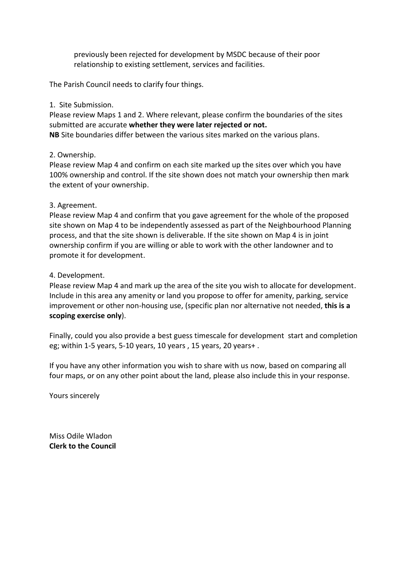previously been rejected for development by MSDC because of their poor relationship to existing settlement, services and facilities.

The Parish Council needs to clarify four things.

#### 1. Site Submission.

Please review Maps 1 and 2. Where relevant, please confirm the boundaries of the sites submitted are accurate **whether they were later rejected or not. NB** Site boundaries differ between the various sites marked on the various plans.

## 2. Ownership.

Please review Map 4 and confirm on each site marked up the sites over which you have 100% ownership and control. If the site shown does not match your ownership then mark the extent of your ownership.

## 3. Agreement.

Please review Map 4 and confirm that you gave agreement for the whole of the proposed site shown on Map 4 to be independently assessed as part of the Neighbourhood Planning process, and that the site shown is deliverable. If the site shown on Map 4 is in joint ownership confirm if you are willing or able to work with the other landowner and to promote it for development.

## 4. Development.

Please review Map 4 and mark up the area of the site you wish to allocate for development. Include in this area any amenity or land you propose to offer for amenity, parking, service improvement or other non-housing use, (specific plan nor alternative not needed, **this is a scoping exercise only**).

Finally, could you also provide a best guess timescale for development start and completion eg; within 1-5 years, 5-10 years, 10 years , 15 years, 20 years+ .

If you have any other information you wish to share with us now, based on comparing all four maps, or on any other point about the land, please also include this in your response.

Yours sincerely

Miss Odile Wladon **Clerk to the Council**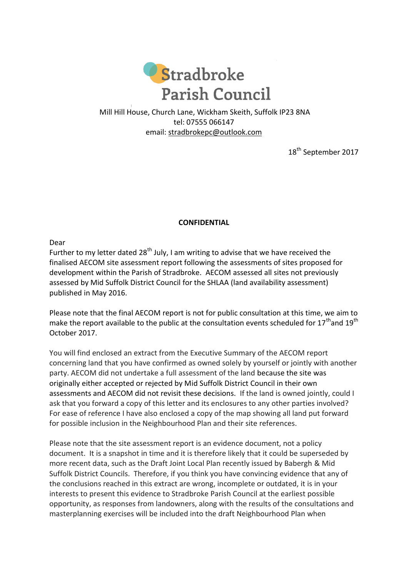

Mill Hill House, Church Lane, Wickham Skeith, Suffolk IP23 8NA tel: 07555 066147 email: [stradbrokepc@outlook.com](mailto:stradbrokepc@outlook.com)

18<sup>th</sup> September 2017

## **CONFIDENTIAL**

Dear

Further to my letter dated  $28<sup>th</sup>$  July, I am writing to advise that we have received the finalised AECOM site assessment report following the assessments of sites proposed for development within the Parish of Stradbroke. AECOM assessed all sites not previously assessed by Mid Suffolk District Council for the SHLAA (land availability assessment) published in May 2016.

Please note that the final AECOM report is not for public consultation at this time, we aim to make the report available to the public at the consultation events scheduled for  $17<sup>th</sup>$  and  $19<sup>th</sup>$ October 2017.

You will find enclosed an extract from the Executive Summary of the AECOM report concerning land that you have confirmed as owned solely by yourself or jointly with another party. AECOM did not undertake a full assessment of the land because the site was originally either accepted or rejected by Mid Suffolk District Council in their own assessments and AECOM did not revisit these decisions. If the land is owned jointly, could I ask that you forward a copy of this letter and its enclosures to any other parties involved? For ease of reference I have also enclosed a copy of the map showing all land put forward for possible inclusion in the Neighbourhood Plan and their site references.

Please note that the site assessment report is an evidence document, not a policy document. It is a snapshot in time and it is therefore likely that it could be superseded by more recent data, such as the Draft Joint Local Plan recently issued by Babergh & Mid Suffolk District Councils. Therefore, if you think you have convincing evidence that any of the conclusions reached in this extract are wrong, incomplete or outdated, it is in your interests to present this evidence to Stradbroke Parish Council at the earliest possible opportunity, as responses from landowners, along with the results of the consultations and masterplanning exercises will be included into the draft Neighbourhood Plan when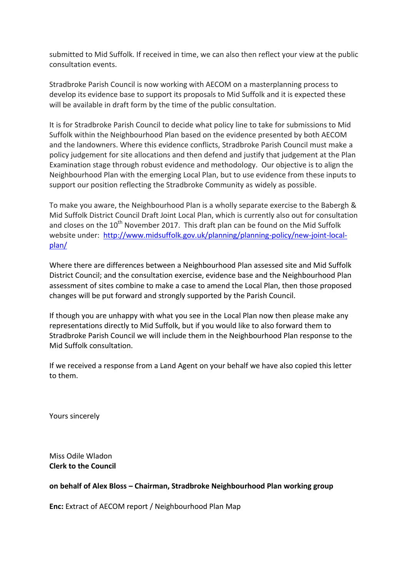submitted to Mid Suffolk. If received in time, we can also then reflect your view at the public consultation events.

Stradbroke Parish Council is now working with AECOM on a masterplanning process to develop its evidence base to support its proposals to Mid Suffolk and it is expected these will be available in draft form by the time of the public consultation.

It is for Stradbroke Parish Council to decide what policy line to take for submissions to Mid Suffolk within the Neighbourhood Plan based on the evidence presented by both AECOM and the landowners. Where this evidence conflicts, Stradbroke Parish Council must make a policy judgement for site allocations and then defend and justify that judgement at the Plan Examination stage through robust evidence and methodology. Our objective is to align the Neighbourhood Plan with the emerging Local Plan, but to use evidence from these inputs to support our position reflecting the Stradbroke Community as widely as possible.

To make you aware, the Neighbourhood Plan is a wholly separate exercise to the Babergh & Mid Suffolk District Council Draft Joint Local Plan, which is currently also out for consultation and closes on the  $10^{th}$  November 2017. This draft plan can be found on the Mid Suffolk website under: [http://www.midsuffolk.gov.uk/planning/planning-policy/new-joint-local](http://www.midsuffolk.gov.uk/planning/planning-policy/new-joint-local-plan/)[plan/](http://www.midsuffolk.gov.uk/planning/planning-policy/new-joint-local-plan/)

Where there are differences between a Neighbourhood Plan assessed site and Mid Suffolk District Council; and the consultation exercise, evidence base and the Neighbourhood Plan assessment of sites combine to make a case to amend the Local Plan, then those proposed changes will be put forward and strongly supported by the Parish Council.

If though you are unhappy with what you see in the Local Plan now then please make any representations directly to Mid Suffolk, but if you would like to also forward them to Stradbroke Parish Council we will include them in the Neighbourhood Plan response to the Mid Suffolk consultation.

If we received a response from a Land Agent on your behalf we have also copied this letter to them.

Yours sincerely

Miss Odile Wladon **Clerk to the Council**

#### **on behalf of Alex Bloss – Chairman, Stradbroke Neighbourhood Plan working group**

**Enc:** Extract of AECOM report / Neighbourhood Plan Map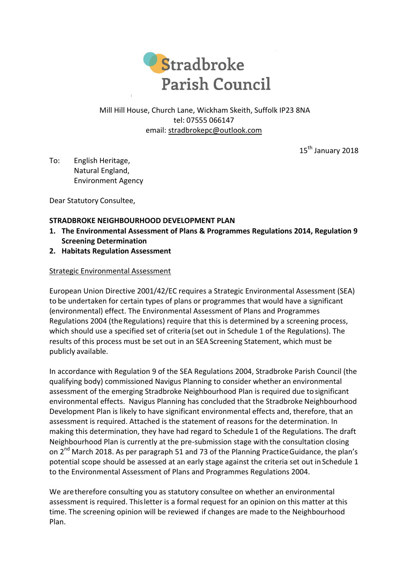

## Mill Hill House, Church Lane, Wickham Skeith, Suffolk IP23 8NA tel: 07555 066147 email: [stradbrokepc@outlook.com](mailto:stradbrokepc@outlook.com)

15<sup>th</sup> January 2018

To: English Heritage, Natural England, Environment Agency

Dear Statutory Consultee,

## **STRADBROKE NEIGHBOURHOOD DEVELOPMENT PLAN**

- **1. The Environmental Assessment of Plans & Programmes Regulations 2014, Regulation 9 Screening Determination**
- **2. Habitats Regulation Assessment**

## Strategic Environmental Assessment

European Union Directive 2001/42/EC requires a Strategic Environmental Assessment (SEA) to be undertaken for certain types of plans or programmes that would have a significant (environmental) effect. The Environmental Assessment of Plans and Programmes Regulations 2004 (the Regulations) require that this is determined by a screening process, which should use a specified set of criteria(set out in Schedule 1 of the Regulations). The results of this process must be set out in an SEAScreening Statement, which must be publicly available.

In accordance with Regulation 9 of the SEA Regulations 2004, Stradbroke Parish Council (the qualifying body) commissioned Navigus Planning to consider whether an environmental assessment of the emerging Stradbroke Neighbourhood Plan is required due tosignificant environmental effects. Navigus Planning has concluded that the Stradbroke Neighbourhood Development Plan is likely to have significant environmental effects and, therefore, that an assessment is required. Attached is the statement of reasons for the determination. In making this determination, they have had regard to Schedule1 of the Regulations. The draft Neighbourhood Plan is currently at the pre-submission stage with the consultation closing on 2<sup>nd</sup> March 2018. As per paragraph 51 and 73 of the Planning Practice Guidance, the plan's potential scope should be assessed at an early stage against the criteria set out in Schedule 1 to the Environmental Assessment of Plans and Programmes Regulations 2004.

We aretherefore consulting you as statutory consultee on whether an environmental assessment is required. Thisletter is a formal request for an opinion on this matter at this time. The screening opinion will be reviewed if changes are made to the Neighbourhood Plan.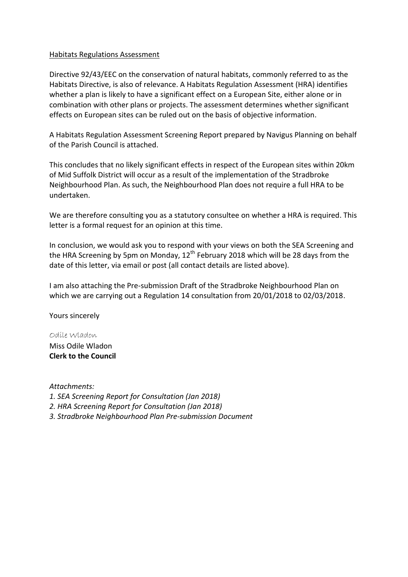#### Habitats Regulations Assessment

Directive 92/43/EEC on the conservation of natural habitats, commonly referred to as the Habitats Directive, is also of relevance. A Habitats Regulation Assessment (HRA) identifies whether a plan is likely to have a significant effect on a European Site, either alone or in combination with other plans or projects. The assessment determines whether significant effects on European sites can be ruled out on the basis of objective information.

A Habitats Regulation Assessment Screening Report prepared by Navigus Planning on behalf of the Parish Council is attached.

This concludes that no likely significant effects in respect of the European sites within 20km of Mid Suffolk District will occur as a result of the implementation of the Stradbroke Neighbourhood Plan. As such, the Neighbourhood Plan does not require a full HRA to be undertaken.

We are therefore consulting you as a statutory consultee on whether a HRA is required. This letter is a formal request for an opinion at this time.

In conclusion, we would ask you to respond with your views on both the SEA Screening and the HRA Screening by 5pm on Monday,  $12<sup>th</sup>$  February 2018 which will be 28 days from the date of this letter, via email or post (all contact details are listed above).

I am also attaching the Pre-submission Draft of the Stradbroke Neighbourhood Plan on which we are carrying out a Regulation 14 consultation from 20/01/2018 to 02/03/2018.

Yours sincerely

## Odile Wladon

Miss Odile Wladon **Clerk to the Council**

*Attachments:*

- *1. SEA Screening Report for Consultation (Jan 2018)*
- *2. HRA Screening Report for Consultation (Jan 2018)*
- *3. Stradbroke Neighbourhood Plan Pre-submission Document*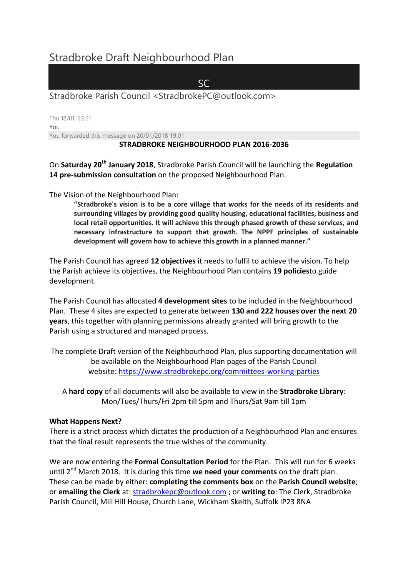# Stradbroke Draft Neighbourhood Plan

SC

Stradbroke Parish Council <StradbrokePC@outlook.com>

Thu 18/01, 23:21 You You forwarded this message on 20/01/2018 19:01

## **STRADBROKE NEIGHBOURHOOD PLAN 2016-2036**

On **Saturday 20th January 2018**, Stradbroke Parish Council will be launching the **Regulation 14 pre-submission consultation** on the proposed Neighbourhood Plan.

The Vision of the Neighbourhood Plan:

**"Stradbroke's vision is to be a core village that works for the needs of its residents and surrounding villages by providing good quality housing, educational facilities, business and local retail opportunities. It will achieve this through phased growth of these services, and necessary infrastructure to support that growth. The NPPF principles of sustainable development will govern how to achieve this growth in a planned manner."**

The Parish Council has agreed **12 objectives** it needs to fulfil to achieve the vision. To help the Parish achieve its objectives, the Neighbourhood Plan contains **19 policies**to guide development.

The Parish Council has allocated **4 development sites** to be included in the Neighbourhood Plan. These 4 sites are expected to generate between **130 and 222 houses over the next 20 years**, this together with planning permissions already granted will bring growth to the Parish using a structured and managed process.

The complete Draft version of the Neighbourhood Plan, plus supporting documentation will be available on the Neighbourhood Plan pages of the Parish Council website: <https://www.stradbrokepc.org/committees-working-parties>

A **hard copy** of all documents will also be available to view in the **Stradbroke Library**: Mon/Tues/Thurs/Fri 2pm till 5pm and Thurs/Sat 9am till 1pm

#### **What Happens Next?**

There is a strict process which dictates the production of a Neighbourhood Plan and ensures that the final result represents the true wishes of the community.

We are now entering the **Formal Consultation Period** for the Plan. This will run for 6 weeks until 2nd March 2018. It is during this time **we need your comments** on the draft plan. These can be made by either: **completing the comments box** on the **Parish Council website**; or **emailing the Clerk** at: [stradbrokepc@outlook.com](mailto:stradbrokepc@outlook.com) ; or **writing to**: The Clerk, Stradbroke Parish Council, Mill Hill House, Church Lane, Wickham Skeith, Suffolk IP23 8NA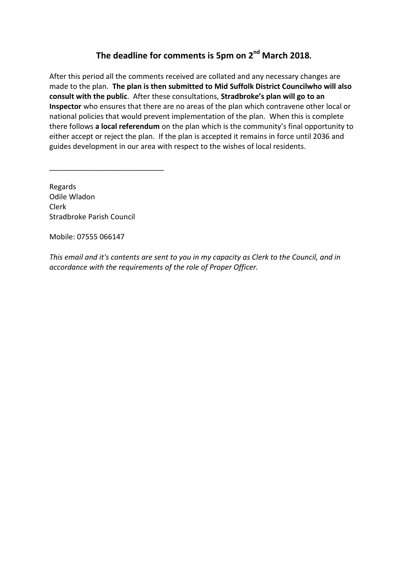# **The deadline for comments is 5pm on 2nd March 2018.**

After this period all the comments received are collated and any necessary changes are made to the plan. **The plan is then submitted to Mid Suffolk District Councilwho will also consult with the public**. After these consultations, **Stradbroke's plan will go to an Inspector** who ensures that there are no areas of the plan which contravene other local or national policies that would prevent implementation of the plan. When this is complete there follows **a local referendum** on the plan which is the community's final opportunity to either accept or reject the plan. If the plan is accepted it remains in force until 2036 and guides development in our area with respect to the wishes of local residents.

Regards Odile Wladon Clerk Stradbroke Parish Council

\_\_\_\_\_\_\_\_\_\_\_\_\_\_\_\_\_\_\_\_\_\_\_\_\_\_\_\_

Mobile: 07555 066147

*This email and it's contents are sent to you in my capacity as Clerk to the Council, and in accordance with the requirements of the role of Proper Officer.*